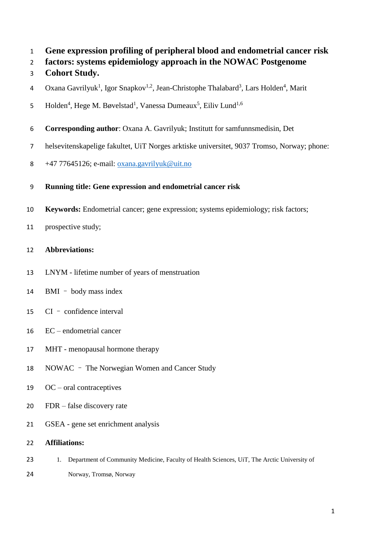- **Gene expression profiling of peripheral blood and endometrial cancer risk**
- **factors: systems epidemiology approach in the NOWAC Postgenome**
- **Cohort Study.**
- 4 Oxana Gavrilyuk<sup>1</sup>, Igor Snapkov<sup>1,2</sup>, Jean-Christophe Thalabard<sup>3</sup>, Lars Holden<sup>4</sup>, Marit
- Holden<sup>4</sup>, Hege M. Bøvelstad<sup>1</sup>, Vanessa Dumeaux<sup>5</sup>, Eiliv Lund<sup>1,6</sup>
- **Corresponding author**: Oxana A. Gavrilyuk; Institutt for samfunnsmedisin, Det
- helsevitenskapelige fakultet, UiT Norges arktiske universitet, 9037 Tromso, Norway; phone:
- 8  $+47$  77645126; e-mail: [oxana.gavrilyuk@uit.no](mailto:oxana.gavrilyuk@uit.no)
- **Running title: Gene expression and endometrial cancer risk**
- **Keywords:** Endometrial cancer; gene expression; systems epidemiology; risk factors;
- prospective study;
- **Abbreviations:**
- LNYM lifetime number of years of menstruation
- BMI body mass index
- CI confidence interval
- EC endometrial cancer
- MHT menopausal hormone therapy
- NOWAC The Norwegian Women and Cancer Study
- OC oral contraceptives
- FDR false discovery rate
- GSEA gene set enrichment analysis
- **Affiliations:**
- 23 1. Department of Community Medicine, Faculty of Health Sciences, UiT, The Arctic University of
- Norway, Tromsø, Norway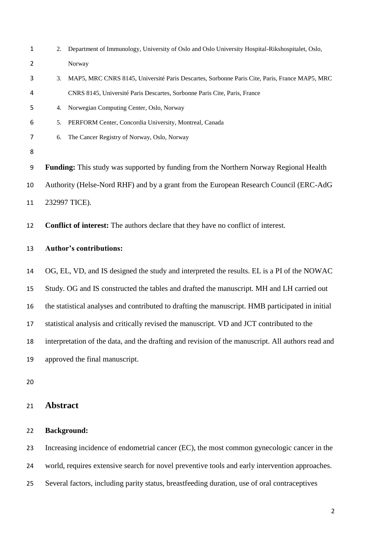| $\mathbf{1}$ | Department of Immunology, University of Oslo and Oslo University Hospital-Rikshospitalet, Oslo,<br>2. |
|--------------|-------------------------------------------------------------------------------------------------------|
| 2            | Norway                                                                                                |
| 3            | MAP5, MRC CNRS 8145, Université Paris Descartes, Sorbonne Paris Cite, Paris, France MAP5, MRC<br>3.   |
| 4            | CNRS 8145, Université Paris Descartes, Sorbonne Paris Cite, Paris, France                             |
| 5            | Norwegian Computing Center, Oslo, Norway<br>4.                                                        |
| 6            | PERFORM Center, Concordia University, Montreal, Canada<br>5.                                          |
| 7            | The Cancer Registry of Norway, Oslo, Norway<br>6.                                                     |
| 8            |                                                                                                       |
| 9            | Funding: This study was supported by funding from the Northern Norway Regional Health                 |
| 10           | Authority (Helse-Nord RHF) and by a grant from the European Research Council (ERC-AdG)                |
| 11           | 232997 TICE).                                                                                         |
| 12           | <b>Conflict of interest:</b> The authors declare that they have no conflict of interest.              |
| 13           | <b>Author's contributions:</b>                                                                        |
| 14           | OG, EL, VD, and IS designed the study and interpreted the results. EL is a PI of the NOWAC            |
| 15           | Study. OG and IS constructed the tables and drafted the manuscript. MH and LH carried out             |
| 16           | the statistical analyses and contributed to drafting the manuscript. HMB participated in initial      |
| 17           | statistical analysis and critically revised the manuscript. VD and JCT contributed to the             |
| 18           | interpretation of the data, and the drafting and revision of the manuscript. All authors read and     |
| 19           | approved the final manuscript.                                                                        |
| 20           |                                                                                                       |
| 21           | <b>Abstract</b>                                                                                       |
|              |                                                                                                       |

### **Background:**

Increasing incidence of endometrial cancer (EC), the most common gynecologic cancer in the

world, requires extensive search for novel preventive tools and early intervention approaches.

Several factors, including parity status, breastfeeding duration, use of oral contraceptives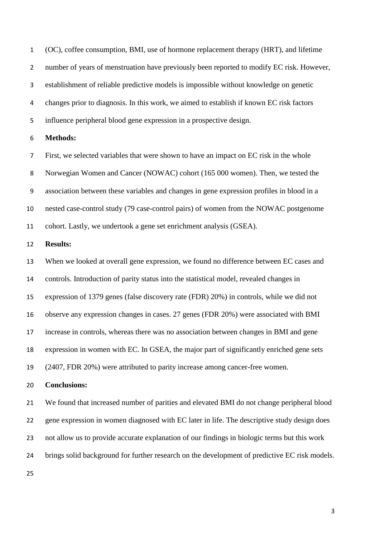(OC), coffee consumption, BMI, use of hormone replacement therapy (HRT), and lifetime number of years of menstruation have previously been reported to modify EC risk. However, establishment of reliable predictive models is impossible without knowledge on genetic changes prior to diagnosis. In this work, we aimed to establish if known EC risk factors influence peripheral blood gene expression in a prospective design.

#### **Methods:**

 First, we selected variables that were shown to have an impact on EC risk in the whole Norwegian Women and Cancer (NOWAC) cohort (165 000 women). Then, we tested the association between these variables and changes in gene expression profiles in blood in a nested case-control study (79 case-control pairs) of women from the NOWAC postgenome cohort. Lastly, we undertook a gene set enrichment analysis (GSEA).

#### **Results:**

 When we looked at overall gene expression, we found no difference between EC cases and controls. Introduction of parity status into the statistical model, revealed changes in expression of 1379 genes (false discovery rate (FDR) 20%) in controls, while we did not observe any expression changes in cases. 27 genes (FDR 20%) were associated with BMI increase in controls, whereas there was no association between changes in BMI and gene expression in women with EC. In GSEA, the major part of significantly enriched gene sets (2407, FDR 20%) were attributed to parity increase among cancer-free women.

#### **Conclusions:**

 We found that increased number of parities and elevated BMI do not change peripheral blood gene expression in women diagnosed with EC later in life. The descriptive study design does not allow us to provide accurate explanation of our findings in biologic terms but this work brings solid background for further research on the development of predictive EC risk models.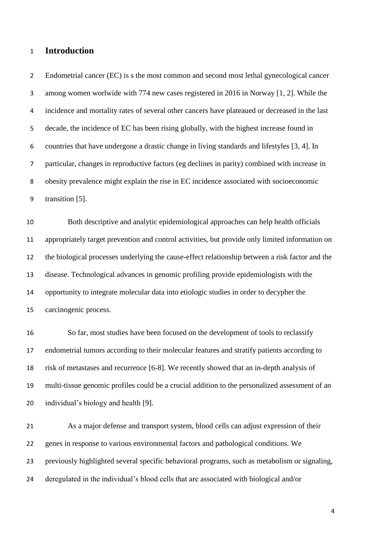### **Introduction**

 Endometrial cancer (EC) is s the most common and second most lethal gynecological cancer among women worlwide with 774 new cases registered in 2016 in Norway [1, 2]. While the incidence and mortality rates of several other cancers have plateaued or decreased in the last decade, the incidence of EC has been rising globally, with the highest increase found in countries that have undergone a drastic change in living standards and lifestyles [3, 4]. In particular, changes in reproductive factors (eg declines in parity) combined with increase in obesity prevalence might explain the rise in EC incidence associated with socioeconomic transition [5].

 Both descriptive and analytic epidemiological approaches can help health officials appropriately target prevention and control activities, but provide only limited information on the biological processes underlying the cause-effect relationship between a risk factor and the disease. Technological advances in genomic profiling provide epidemiologists with the opportunity to integrate molecular data into etiologic studies in order to decypher the carcinogenic process.

 So far, most studies have been focused on the development of tools to reclassify endometrial tumors according to their molecular features and stratify patients according to risk of metastases and recurrence [6-8]. We recently showed that an in-depth analysis of multi-tissue genomic profiles could be a crucial addition to the personalized assessment of an individual's biology and health [9].

 As a major defense and transport system, blood cells can adjust expression of their genes in response to various environmental factors and pathological conditions. We previously highlighted several specific behavioral programs, such as metabolism or signaling, deregulated in the individual's blood cells that are associated with biological and/or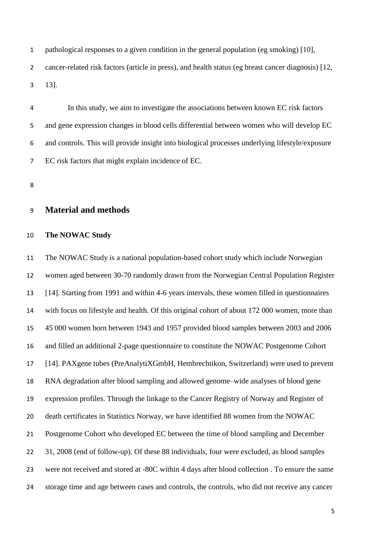pathological responses to a given condition in the general population (eg smoking) [10], cancer-related risk factors (article in press), and health status (eg breast cancer diagnosis) [12, 13].

 In this study, we aim to investigate the associations between known EC risk factors and gene expression changes in blood cells differential between women who will develop EC and controls. This will provide insight into biological processes underlying lifestyle/exposure EC risk factors that might explain incidence of EC.

#### **Material and methods**

#### **The NOWAC Study**

 The NOWAC Study is a national population-based cohort study which include Norwegian women aged between 30-70 randomly drawn from the Norwegian Central Population Register [14]. Starting from 1991 and within 4-6 years intervals, these women filled in questionnaires with focus on lifestyle and health. Of this original cohort of about 172 000 women, more than 45 000 women born between 1943 and 1957 provided blood samples between 2003 and 2006 and filled an additional 2-page questionnaire to constitute the NOWAC Postgenome Cohort [14]. PAXgene tubes (PreAnalytiXGmbH, Hembrechtikon, Switzerland) were used to prevent RNA degradation after blood sampling and allowed genome–wide analyses of blood gene expression profiles. Through the linkage to the Cancer Registry of Norway and Register of death certificates in Statistics Norway, we have identified 88 women from the NOWAC Postgenome Cohort who developed EC between the time of blood sampling and December 31, 2008 (end of follow-up). Of these 88 individuals, four were excluded, as blood samples were not received and stored at -80C within 4 days after blood collection . To ensure the same storage time and age between cases and controls, the controls, who did not receive any cancer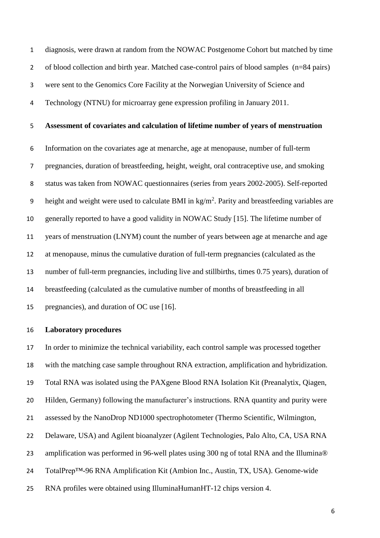diagnosis, were drawn at random from the NOWAC Postgenome Cohort but matched by time 2 of blood collection and birth year. Matched case-control pairs of blood samples (n=84 pairs) were sent to the Genomics Core Facility at the Norwegian University of Science and Technology (NTNU) for microarray gene expression profiling in January 2011.

## **Assessment of covariates and calculation of lifetime number of years of menstruation**

 Information on the covariates age at menarche, age at menopause, number of full-term pregnancies, duration of breastfeeding, height, weight, oral contraceptive use, and smoking status was taken from NOWAC questionnaires (series from years 2002-2005). Self-reported 9 height and weight were used to calculate BMI in  $kg/m<sup>2</sup>$ . Parity and breastfeeding variables are generally reported to have a good validity in NOWAC Study [15]. The lifetime number of years of menstruation (LNYM) count the number of years between age at menarche and age at menopause, minus the cumulative duration of full-term pregnancies (calculated as the number of full-term pregnancies, including live and stillbirths, times 0.75 years), duration of breastfeeding (calculated as the cumulative number of months of breastfeeding in all pregnancies), and duration of OC use [16].

#### **Laboratory procedures**

 In order to minimize the technical variability, each control sample was processed together with the matching case sample throughout RNA extraction, amplification and hybridization. Total RNA was isolated using the PAXgene Blood RNA Isolation Kit (Preanalytix, Qiagen, Hilden, Germany) following the manufacturer's instructions. RNA quantity and purity were assessed by the NanoDrop ND1000 spectrophotometer (Thermo Scientific, Wilmington, Delaware, USA) and Agilent bioanalyzer (Agilent Technologies, Palo Alto, CA, USA RNA amplification was performed in 96-well plates using 300 ng of total RNA and the Illumina® TotalPrep™-96 RNA Amplification Kit (Ambion Inc., Austin, TX, USA). Genome-wide RNA profiles were obtained using IlluminaHumanHT-12 chips version 4.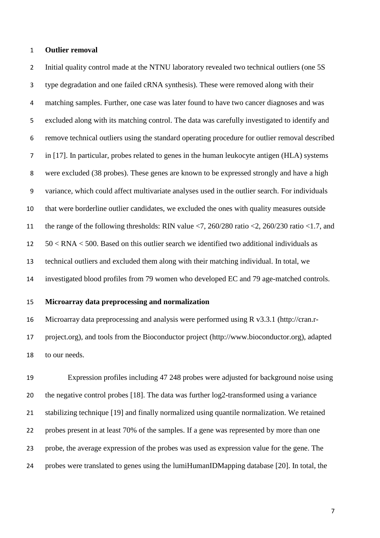#### **Outlier removal**

2 Initial quality control made at the NTNU laboratory revealed two technical outliers (one 5S type degradation and one failed cRNA synthesis). These were removed along with their matching samples. Further, one case was later found to have two cancer diagnoses and was excluded along with its matching control. The data was carefully investigated to identify and remove technical outliers using the standard operating procedure for outlier removal described in [17]. In particular, probes related to genes in the human leukocyte antigen (HLA) systems were excluded (38 probes). These genes are known to be expressed strongly and have a high variance, which could affect multivariate analyses used in the outlier search. For individuals that were borderline outlier candidates, we excluded the ones with quality measures outside the range of the following thresholds: RIN value <7, 260/280 ratio <2, 260/230 ratio <1.7, and 50 < RNA < 500. Based on this outlier search we identified two additional individuals as technical outliers and excluded them along with their matching individual. In total, we investigated blood profiles from 79 women who developed EC and 79 age-matched controls.

#### **Microarray data preprocessing and normalization**

 Microarray data preprocessing and analysis were performed using R v3.3.1 (http://cran.r- project.org), and tools from the Bioconductor project (http://www.bioconductor.org), adapted to our needs.

 Expression profiles including 47 248 probes were adjusted for background noise using the negative control probes [18]. The data was further log2-transformed using a variance stabilizing technique [19] and finally normalized using quantile normalization. We retained probes present in at least 70% of the samples. If a gene was represented by more than one probe, the average expression of the probes was used as expression value for the gene. The probes were translated to genes using the lumiHumanIDMapping database [20]. In total, the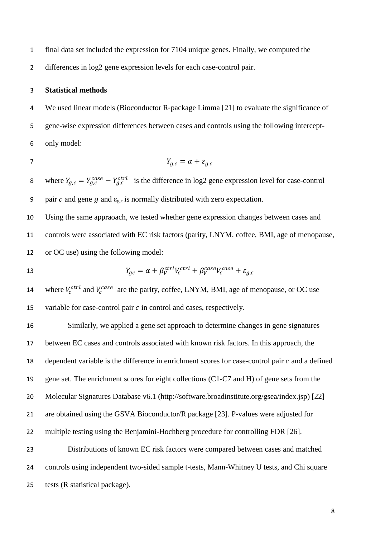- final data set included the expression for 7104 unique genes. Finally, we computed the
- differences in log2 gene expression levels for each case-control pair.

#### **Statistical methods**

 We used linear models (Bioconductor R‐package Limma [21] to evaluate the significance of gene-wise expression differences between cases and controls using the following intercept-only model:

$$
\boldsymbol{7}
$$

$$
Y_{g,c} = \alpha + \varepsilon_{g,c}
$$

8 where  $Y_{g,c} = Y_{g,c}^{case} - Y_{g,c}^{ctrl}$  is the difference in log2 gene expression level for case-control 9 pair  $c$  and gene  $g$  and  $\varepsilon_{g,c}$  is normally distributed with zero expectation.

 Using the same appraoach, we tested whether gene expression changes between cases and controls were associated with EC risk factors (parity, LNYM, coffee, BMI, age of menopause, or OC use) using the following model:

13 
$$
Y_{gc} = \alpha + \beta_V^{ctrl} V_c^{ctrl} + \beta_V^{case} V_c^{case} + \varepsilon_{g,c}
$$

14 where  $V_c^{ctrl}$  and  $V_c^{case}$  are the parity, coffee, LNYM, BMI, age of menopause, or OC use 15 variable for case-control pair  $c$  in control and cases, respectively.

 Similarly, we applied a gene set approach to determine changes in gene signatures between EC cases and controls associated with known risk factors. In this approach, the 18 dependent variable is the difference in enrichment scores for case-control pair  $c$  and a defined gene set. The enrichment scores for eight collections (C1-C7 and H) of gene sets from the Molecular Signatures Database v6.1 [\(http://software.broadinstitute.org/gsea/index.jsp\)](http://software.broadinstitute.org/gsea/index.jsp) [22] are obtained using the GSVA Bioconductor/R package [23]. P-values were adjusted for multiple testing using the Benjamini-Hochberg procedure for controlling FDR [26]. Distributions of known EC risk factors were compared between cases and matched controls using independent two-sided sample t-tests, Mann-Whitney U tests, and Chi square tests (R statistical package).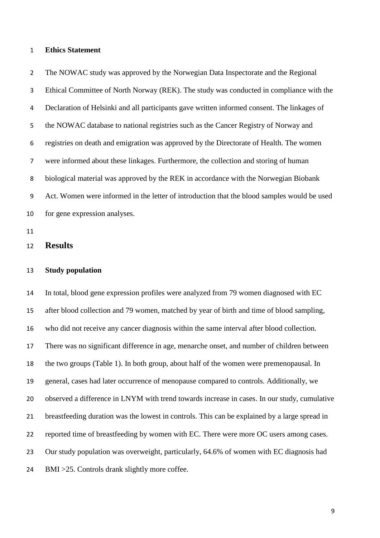#### **Ethics Statement**

 The NOWAC study was approved by the Norwegian Data Inspectorate and the Regional Ethical Committee of North Norway (REK). The study was conducted in compliance with the Declaration of Helsinki and all participants gave written informed consent. The linkages of the NOWAC database to national registries such as the Cancer Registry of Norway and registries on death and emigration was approved by the Directorate of Health. The women were informed about these linkages. Furthermore, the collection and storing of human biological material was approved by the REK in accordance with the Norwegian Biobank Act. Women were informed in the letter of introduction that the blood samples would be used for gene expression analyses.

#### **Results**

#### **Study population**

 In total, blood gene expression profiles were analyzed from 79 women diagnosed with EC after blood collection and 79 women, matched by year of birth and time of blood sampling, who did not receive any cancer diagnosis within the same interval after blood collection. There was no significant difference in age, menarche onset, and number of children between the two groups (Table 1). In both group, about half of the women were premenopausal. In general, cases had later occurrence of menopause compared to controls. Additionally, we observed a difference in LNYM with trend towards increase in cases. In our study, cumulative breastfeeding duration was the lowest in controls. This can be explained by a large spread in 22 reported time of breastfeeding by women with EC. There were more OC users among cases. Our study population was overweight, particularly, 64.6% of women with EC diagnosis had BMI >25. Controls drank slightly more coffee.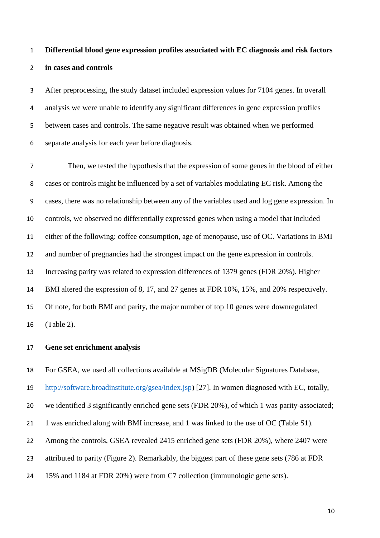# **Differential blood gene expression profiles associated with EC diagnosis and risk factors in cases and controls**

 After preprocessing, the study dataset included expression values for 7104 genes. In overall analysis we were unable to identify any significant differences in gene expression profiles between cases and controls. The same negative result was obtained when we performed separate analysis for each year before diagnosis.

 Then, we tested the hypothesis that the expression of some genes in the blood of either cases or controls might be influenced by a set of variables modulating EC risk. Among the cases, there was no relationship between any of the variables used and log gene expression. In controls, we observed no differentially expressed genes when using a model that included either of the following: coffee consumption, age of menopause, use of OC. Variations in BMI and number of pregnancies had the strongest impact on the gene expression in controls. Increasing parity was related to expression differences of 1379 genes (FDR 20%). Higher BMI altered the expression of 8, 17, and 27 genes at FDR 10%, 15%, and 20% respectively. Of note, for both BMI and parity, the major number of top 10 genes were downregulated (Table 2).

#### **Gene set enrichment analysis**

For GSEA, we used all collections available at MSigDB (Molecular Signatures Database,

[http://software.broadinstitute.org/gsea/index.jsp\)](http://software.broadinstitute.org/gsea/index.jsp) [27]. In women diagnosed with EC, totally,

we identified 3 significantly enriched gene sets (FDR 20%), of which 1 was parity-associated;

21 1 was enriched along with BMI increase, and 1 was linked to the use of OC (Table S1).

Among the controls, GSEA revealed 2415 enriched gene sets (FDR 20%), where 2407 were

attributed to parity (Figure 2). Remarkably, the biggest part of these gene sets (786 at FDR

15% and 1184 at FDR 20%) were from C7 collection (immunologic gene sets).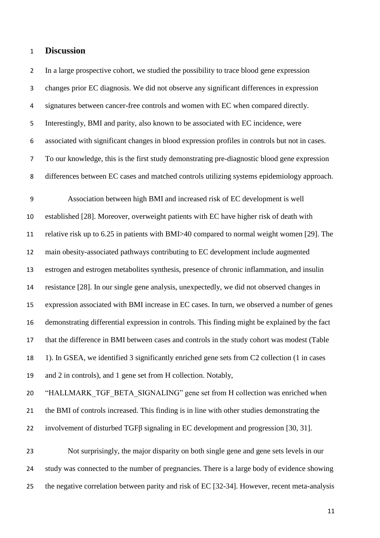#### **Discussion**

 In a large prospective cohort, we studied the possibility to trace blood gene expression changes prior EC diagnosis. We did not observe any significant differences in expression signatures between cancer-free controls and women with EC when compared directly. Interestingly, BMI and parity, also known to be associated with EC incidence, were associated with significant changes in blood expression profiles in controls but not in cases. To our knowledge, this is the first study demonstrating pre-diagnostic blood gene expression differences between EC cases and matched controls utilizing systems epidemiology approach.

 Association between high BMI and increased risk of EC development is well established [28]. Moreover, overweight patients with EC have higher risk of death with relative risk up to 6.25 in patients with BMI>40 compared to normal weight women [29]. The main obesity-associated pathways contributing to EC development include augmented estrogen and estrogen metabolites synthesis, presence of chronic inflammation, and insulin resistance [28]. In our single gene analysis, unexpectedly, we did not observed changes in expression associated with BMI increase in EC cases. In turn, we observed a number of genes demonstrating differential expression in controls. This finding might be explained by the fact that the difference in BMI between cases and controls in the study cohort was modest (Table 1). In GSEA, we identified 3 significantly enriched gene sets from C2 collection (1 in cases and 2 in controls), and 1 gene set from H collection. Notably,

 "HALLMARK\_TGF\_BETA\_SIGNALING" gene set from H collection was enriched when the BMI of controls increased. This finding is in line with other studies demonstrating the involvement of disturbed TGFβ signaling in EC development and progression [30, 31].

 Not surprisingly, the major disparity on both single gene and gene sets levels in our study was connected to the number of pregnancies. There is a large body of evidence showing the negative correlation between parity and risk of EC [32-34]. However, recent meta-analysis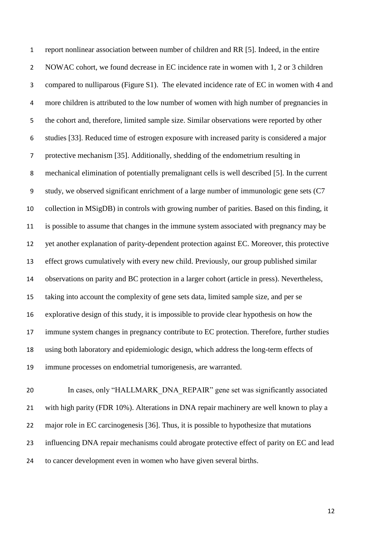report nonlinear association between number of children and RR [5]. Indeed, in the entire 2 NOWAC cohort, we found decrease in EC incidence rate in women with 1, 2 or 3 children compared to nulliparous (Figure S1). The elevated incidence rate of EC in women with 4 and more children is attributed to the low number of women with high number of pregnancies in the cohort and, therefore, limited sample size. Similar observations were reported by other studies [33]. Reduced time of estrogen exposure with increased parity is considered a major protective mechanism [35]. Additionally, shedding of the endometrium resulting in mechanical elimination of potentially premalignant cells is well described [5]. In the current study, we observed significant enrichment of a large number of immunologic gene sets (C7 collection in MSigDB) in controls with growing number of parities. Based on this finding, it is possible to assume that changes in the immune system associated with pregnancy may be yet another explanation of parity-dependent protection against EC. Moreover, this protective effect grows cumulatively with every new child. Previously, our group published similar observations on parity and BC protection in a larger cohort (article in press). Nevertheless, taking into account the complexity of gene sets data, limited sample size, and per se explorative design of this study, it is impossible to provide clear hypothesis on how the immune system changes in pregnancy contribute to EC protection. Therefore, further studies using both laboratory and epidemiologic design, which address the long-term effects of immune processes on endometrial tumorigenesis, are warranted.

20 In cases, only "HALLMARK\_DNA\_REPAIR" gene set was significantly associated with high parity (FDR 10%). Alterations in DNA repair machinery are well known to play a major role in EC carcinogenesis [36]. Thus, it is possible to hypothesize that mutations influencing DNA repair mechanisms could abrogate protective effect of parity on EC and lead to cancer development even in women who have given several births.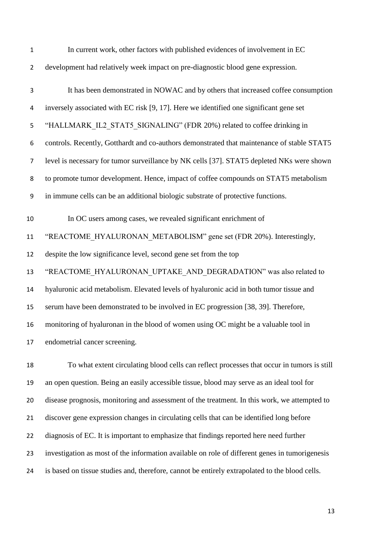| $\mathbf{1}$   | In current work, other factors with published evidences of involvement in EC               |
|----------------|--------------------------------------------------------------------------------------------|
| $\overline{2}$ | development had relatively week impact on pre-diagnostic blood gene expression.            |
| $\mathsf 3$    | It has been demonstrated in NOWAC and by others that increased coffee consumption          |
| 4              | inversely associated with EC risk [9, 17]. Here we identified one significant gene set     |
| 5              | "HALLMARK IL2 STAT5 SIGNALING" (FDR 20%) related to coffee drinking in                     |
| 6              | controls. Recently, Gotthardt and co-authors demonstrated that maintenance of stable STAT5 |
| 7              | level is necessary for tumor surveillance by NK cells [37]. STAT5 depleted NKs were shown  |
| 8              | to promote tumor development. Hence, impact of coffee compounds on STAT5 metabolism        |
| 9              | in immune cells can be an additional biologic substrate of protective functions.           |
| 10             | In OC users among cases, we revealed significant enrichment of                             |
| 11             | "REACTOME_HYALURONAN_METABOLISM" gene set (FDR 20%). Interestingly,                        |
| 12             | despite the low significance level, second gene set from the top                           |
| 13             | "REACTOME HYALURONAN UPTAKE AND DEGRADATION" was also related to                           |
| 14             | hyaluronic acid metabolism. Elevated levels of hyaluronic acid in both tumor tissue and    |
| 15             | serum have been demonstrated to be involved in EC progression [38, 39]. Therefore,         |
| 16             | monitoring of hyaluronan in the blood of women using OC might be a valuable tool in        |
| 17             | endometrial cancer screening.                                                              |
| 18             | To what extent circulating blood cells can reflect processes that occur in tumors is still |
| 19             | an open question. Being an easily accessible tissue, blood may serve as an ideal tool for  |

 an open question. Being an easily accessible tissue, blood may serve as an ideal tool for disease prognosis, monitoring and assessment of the treatment. In this work, we attempted to discover gene expression changes in circulating cells that can be identified long before diagnosis of EC. It is important to emphasize that findings reported here need further investigation as most of the information available on role of different genes in tumorigenesis is based on tissue studies and, therefore, cannot be entirely extrapolated to the blood cells.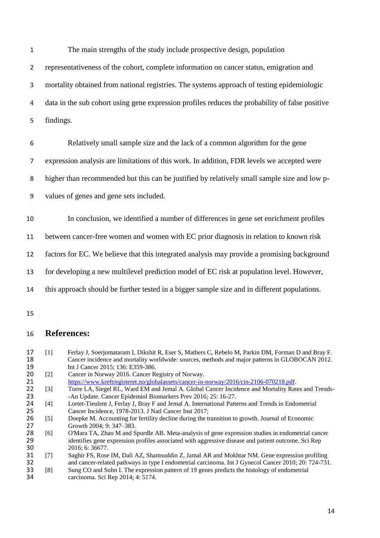The main strengths of the study include prospective design, population representativeness of the cohort, complete information on cancer status, emigration and mortality obtained from national registries. The systems approach of testing epidemiologic data in the sub cohort using gene expression profiles reduces the probability of false positive findings.

6 Relatively small sample size and the lack of a common algorithm for the gene

7 expression analysis are limitations of this work. In addition, FDR levels we accepted were

8 higher than recommended but this can be justified by relatively small sample size and low p-

9 values of genes and gene sets included.

10 In conclusion, we identified a number of differences in gene set enrichment profiles

11 between cancer-free women and women with EC prior diagnosis in relation to known risk

12 factors for EC. We believe that this integrated analysis may provide a promising background

13 for developing a new multilevel prediction model of EC risk at population level. However,

- 14 this approach should be further tested in a bigger sample size and in different populations.
- 15

### 16 **References:**

- 17 [1] Ferlay J, Soerjomataram I, Dikshit R, Eser S, Mathers C, Rebelo M, Parkin DM, Forman D and Bray F.<br>18 Cancer incidence and mortality worldwide: sources, methods and major patterns in GLOBOCAN 2012. 18 Cancer incidence and mortality worldwide: sources, methods and major patterns in GLOBOCAN 2012.<br>19 Int J Cancer 2015; 136: E359-386. 19 Int J Cancer 2015; 136: E359-386.<br>20 [2] Cancer in Norway 2016. Cancer R
- 20 [2] Cancer in Norway 2016. Cancer Registry of Norway.<br>21 https://www.kreftregisteret.no/globalassets/cancer-in-
- 21 [https://www.kreftregisteret.no/globalassets/cancer-in-norway/2016/cin-2106-070218.pdf.](https://www.kreftregisteret.no/globalassets/cancer-in-norway/2016/cin-2106-070218.pdf)<br>22 [3] Torre LA, Siegel RL, Ward EM and Jemal A. Global Cancer Incidence and Mortality Rat
- 22 [3] Torre LA, Siegel RL, Ward EM and Jemal A. Global Cancer Incidence and Mortality Rates and Trends-<br>23 An Undate. Cancer Epidemiol Biomarkers Prev 2016: 25: 16-27. 23 -An Update. Cancer Epidemiol Biomarkers Prev 2016; 25: 16-27.<br>24 [4] Lortet-Tieulent J, Ferlay J, Bray F and Jemal A. International Patte
- 24 [4] Lortet-Tieulent J, Ferlay J, Bray F and Jemal A. International Patterns and Trends in Endometrial<br>25 Cancer Incidence, 1978-2013. J Natl Cancer Inst 2017; 25 Cancer Incidence, 1978-2013. J Natl Cancer Inst 2017;<br>26 [5] Doepke M. Accounting for fertility decline during the tr
- 26 [5] Doepke M. Accounting for fertility decline during the transition to growth. Journal of Economic Growth 2004; 9: 347–383. 27 Growth 2004; 9: 347–383.<br>28 [6] O'Mara TA, Zhao M and S
- 28 [6] O'Mara TA, Zhao M and Spurdle AB. Meta-analysis of gene expression studies in endometrial cancer<br>29 identifies gene expression profiles associated with aggressive disease and patient outcome. Sci Rep 29 identifies gene expression profiles associated with aggressive disease and patient outcome. Sci Rep 2016: 6: 36677. 30 2016; 6: 36677.<br>31 [7] Saghir FS, Rose
- 31 [7] Saghir FS, Rose IM, Dali AZ, Shamsuddin Z, Jamal AR and Mokhtar NM. Gene expression profiling<br>32 and cancer-related pathways in type I endometrial carcinoma. Int J Gynecol Cancer 2010; 20: 724-731 and cancer-related pathways in type I endometrial carcinoma. Int J Gynecol Cancer 2010; 20: 724-731. 33 [8] Sung CO and Sohn I. The expression pattern of 19 genes predicts the histology of endometrial carcinoma. Sci Rep 2014; 4: 5174. carcinoma. Sci Rep 2014; 4: 5174.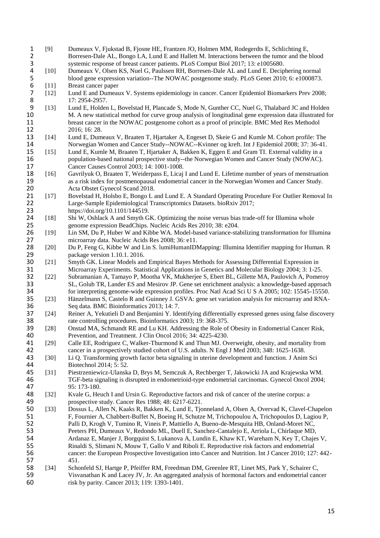1 [9] Dumeaux V, Fjukstad B, Fjosne HE, Frantzen JO, Holmen MM, Rodegerdts E, Schlichting E, 2 Borresen-Dale AL, Bongo LA, Lund E and Hallett M. Interactions between the tumor and the blood<br>3 systemic response of breast cancer patients. PLoS Comput Biol 2017; 13: e1005680. 3 systemic response of breast cancer patients. PLoS Comput Biol 2017; 13: e1005680.<br>
4 [10] Dumeaux V, Olsen KS, Nuel G, Paulssen RH, Borresen-Dale AL and Lund E. Decip 4 [10] Dumeaux V, Olsen KS, Nuel G, Paulssen RH, Borresen-Dale AL and Lund E. Deciphering normal<br>5 blood gene expression variation--The NOWAC postgenome study. PLoS Genet 2010; 6: e1000873. 5 blood gene expression variation--The NOWAC postgenome study. PLoS Genet 2010; 6: e1000873.<br>
[11] Breast cancer paper 6 [11] Breast cancer paper<br>7 [12] Lund E and Dumeau 7 [12] Lund E and Dumeaux V. Systems epidemiology in cancer. Cancer Epidemiol Biomarkers Prev 2008; 8 17: 2954-2957.<br>9 [13] Lund E. Holder 9 [13] Lund E, Holden L, Bovelstad H, Plancade S, Mode N, Gunther CC, Nuel G, Thalabard JC and Holden M. A new statistical method for curve group analysis of longitudinal gene expression data illustrated for 10 M. A new statistical method for curve group analysis of longitudinal gene expression data illustrated for<br>11 breast cancer in the NOWAC postgenome cohort as a proof of principle. BMC Med Res Methodol 11 breast cancer in the NOWAC postgenome cohort as a proof of principle. BMC Med Res Methodol<br>12 16: 16: 28. 12 2016; 16: 28.<br>13 [14] Lund E, Dum 13 [14] Lund E, Dumeaux V, Braaten T, Hjartaker A, Engeset D, Skeie G and Kumle M. Cohort profile: The<br>14 Norwegian Women and Cancer Study--NOWAC--Kvinner og kreft. Int J Epidemiol 2008: 37: 36-41. 14 Norwegian Women and Cancer Study--NOWAC--Kvinner og kreft. Int J Epidemiol 2008; 37: 36-41.<br>15 [15] Lund E. Kumle M. Braaten T. Hiartaker A. Bakken K. Eggen E and Gram TI. External validity in a [15] Lund E, Kumle M, Braaten T, Hjartaker A, Bakken K, Eggen E and Gram TI. External validity in a 16 population-based national prospective study--the Norwegian Women and Cancer Study (NOWAC). 17 Cancer Causes Control 2003; 14: 1001-1008.<br>18 [16] Gavrilyuk O. Braaten T. Weiderpass E. Licai 18 [16] Gavrilyuk O, Braaten T, Weiderpass E, Licaj I and Lund E. Lifetime number of years of menstruation<br>19 as a risk index for postmenopausal endometrial cancer in the Norwegian Women and Cancer Study. 19 as a risk index for postmenopausal endometrial cancer in the Norwegian Women and Cancer Study.<br>20 Acta Obstet Gynecol Scand 2018. 20 Acta Obstet Gynecol Scand 2018. 21 [17] Bovelstad H, Holsbo E, Bongo L and Lund E. A Standard Operating Procedure For Outlier Removal In<br>22 Large-Sample Epidemiological Transcriptomics Datasets. bioRxiv 2017: 22 Large-Sample Epidemiological Transcriptomics Datasets. bioRxiv 2017;<br>23 https://doi.org/10.1101/144519. 23 https://doi.org/10.1101/144519.<br>24 [18] Shi W, Oshlack A and Smyth G 24 [18] Shi W, Oshlack A and Smyth GK. Optimizing the noise versus bias trade-off for Illumina whole<br>25 eenome expression BeadChips. Nucleic Acids Res 2010; 38: e204. 25 genome expression BeadChips. Nucleic Acids Res 2010; 38: e204.<br>26 [19] Lin SM, Du P, Huber W and Kibbe WA. Model-based variance-sta 26 [19] Lin SM, Du P, Huber W and Kibbe WA. Model-based variance-stabilizing transformation for Illumina 27 microarray data. Nucleic Acids Res 2008; 36: e11.<br>28 [20] Du P, Feng G, Kibbe W and Lin S. lumiHumanIDN 28 [20] Du P, Feng G, Kibbe W and Lin S. lumiHumanIDMapping: Illumina Identifier mapping for Human. R package version 1.10.1. 2016. 29 package version 1.10.1. 2016.<br>30 [21] Smyth GK, Linear Models and 30 [21] Smyth GK. Linear Models and Empirical Bayes Methods for Assessing Differential Expression in<br>31 Microarray Experiments. Statistical Applications in Genetics and Molecular Biology 2004; 3: 1-25 31 Microarray Experiments. Statistical Applications in Genetics and Molecular Biology 2004; 3: 1-25.<br>32 [22] Subramanian A, Tamayo P, Mootha VK, Mukherjee S, Ebert BL, Gillette MA, Paulovich A, Pomer 32 [22] Subramanian A, Tamayo P, Mootha VK, Mukherjee S, Ebert BL, Gillette MA, Paulovich A, Pomeroy<br>33 [22] SL, Golub TR, Lander ES and Mesirov JP. Gene set enrichment analysis: a knowledge-based approach 33 SL, Golub TR, Lander ES and Mesirov JP. Gene set enrichment analysis: a knowledge-based approach<br>34 for interpreting genome-wide expression profiles. Proc Natl Acad Sci U S A 2005: 102: 15545-15550. 34 for interpreting genome-wide expression profiles. Proc Natl Acad Sci U S A 2005; 102: 15545-15550.<br>35 [23] Hänzelmann S, Castelo R and Guinney J. GSVA: gene set variation analysis for microarray and RNA-Hänzelmann S, Castelo R and Guinney J. GSVA: gene set variation analysis for microarray and RNA-36 Seq data. BMC Bioinformatics 2013; 14: 7.<br>37 [24] Reiner A, Yekutieli D and Benjamini Y. Ide 37 [24] Reiner A, Yekutieli D and Benjamini Y. Identifying differentially expressed genes using false discovery<br>38 rate controlling procedures. Bioinformatics 2003: 19: 368-375. 38 rate controlling procedures. Bioinformatics 2003; 19: 368-375.<br>39 [28] Onstad MA, Schmandt RE and Lu KH. Addressing the Role of 39 [28] Onstad MA, Schmandt RE and Lu KH. Addressing the Role of Obesity in Endometrial Cancer Risk,<br>40 Prevention, and Treatment. J Clin Oncol 2016; 34: 4225-4230. 40 Prevention, and Treatment. J Clin Oncol 2016; 34: 4225-4230.<br>41 [29] Calle EE, Rodriguez C, Walker-Thurmond K and Thun MJ. Ov [29] Calle EE, Rodriguez C, Walker-Thurmond K and Thun MJ. Overweight, obesity, and mortality from 42 cancer in a prospectively studied cohort of U.S. adults. N Engl J Med 2003; 348: 1625-1638.<br>43 [30] Li Q. Transforming growth factor beta signaling in uterine development and function. J Anim 43 [30] Li Q. Transforming growth factor beta signaling in uterine development and function. J Anim Sci 44 Biotechnol 2014; 5: 52.<br>45 [31] Piestrzeniewicz-Ulanska 45 [31] Piestrzeniewicz-Ulanska D, Brys M, Semczuk A, Rechberger T, Jakowicki JA and Krajewska WM. 46 TGF-beta signaling is disrupted in endometrioid-type endometrial carcinomas. Gynecol Oncol 2004; 47 95: 173-180.<br>48 [32] Kvale G, Het 48 [32] Kvale G, Heuch I and Ursin G. Reproductive factors and risk of cancer of the uterine corpus: a prospective study. Cancer Res 1988: 48: 6217-6221. 49 prospective study. Cancer Res 1988; 48: 6217-6221.<br>50 [33] Dossus L, Allen N, Kaaks R, Bakken K, Lund E, Tio 50 [33] Dossus L, Allen N, Kaaks R, Bakken K, Lund E, Tjonneland A, Olsen A, Overvad K, Clavel-Chapelon<br>51 F, Fournier A, Chabbert-Buffet N, Boeing H, Schutze M, Trichopoulou A, Trichopoulos D, Lagiou P, 51 F, Fournier A, Chabbert-Buffet N, Boeing H, Schutze M, Trichopoulou A, Trichopoulos D, Lagiou P,<br>52 Palli D. Krogh V, Tumino R, Vineis P, Mattiello A, Bueno-de-Mesquita HB, Onland-Moret NC. 52 Palli D, Krogh V, Tumino R, Vineis P, Mattiello A, Bueno-de-Mesquita HB, Onland-Moret NC,<br>53 Peeters PH, Dumeaux V, Redondo ML, Duell E, Sanchez-Cantaleio E, Arriola L, Chirlaque MD. 53 Peeters PH, Dumeaux V, Redondo ML, Duell E, Sanchez-Cantalejo E, Arriola L, Chirlaque MD,<br>54 Ardanaz E, Manier J, Borgauist S, Lukanova A, Lundin E, Khaw KT, Wareham N, Key T, Chaie 54 Ardanaz E, Manjer J, Borgquist S, Lukanova A, Lundin E, Khaw KT, Wareham N, Key T, Chajes V, 55 Rinaldi S, Slimani N, Mouw T, Gallo V and Riboli E. Reproductive risk factors and endometrial 56 cancer: the European Prospective Investigation into Cancer and Nutrition. Int J Cancer 2010; 127: 442- 57 451. 58 [34] Schonfeld SJ, Hartge P, Pfeiffer RM, Freedman DM, Greenlee RT, Linet MS, Park Y, Schairer C, 59 Visvanathan K and Lacey JV, Jr. An aggregated analysis of hormonal factors and endometrial cancer 60 risk by parity. Cancer 2013; 119: 1393-1401.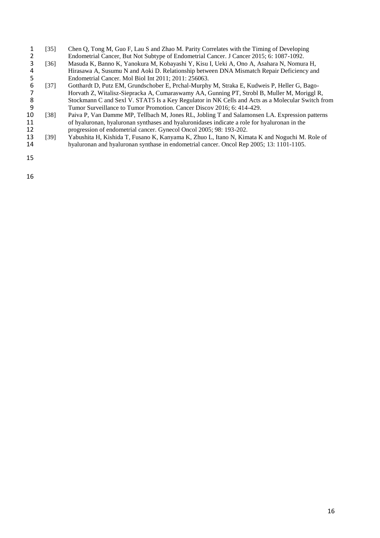- 1 [35] Chen Q, Tong M, Guo F, Lau S and Zhao M. Parity Correlates with the Timing of Developing<br>2 Endometrial Cancer, But Not Subtype of Endometrial Cancer. J Cancer 2015; 6: 1087-1092.<br>[36] Masuda K, Banno K, Yanokura M, Endometrial Cancer, But Not Subtype of Endometrial Cancer. J Cancer 2015; 6: 1087-1092.<br>
[36] Masuda K, Banno K, Yanokura M, Kobayashi Y, Kisu I, Ueki A, Ono A, Asahara N, Nomur
- 3 [36] Masuda K, Banno K, Yanokura M, Kobayashi Y, Kisu I, Ueki A, Ono A, Asahara N, Nomura H, Hirasawa A, Susumu N and Aoki D. Relationship between DNA Mismatch Repair Deficiency and Endometrial Cancer. Mol Biol Int 2011; Hirasawa A, Susumu N and Aoki D. Relationship between DNA Mismatch Repair Deficiency and 5 Endometrial Cancer. Mol Biol Int 2011; 2011: 256063.
- 6 [37] Gotthardt D, Putz EM, Grundschober E, Prchal-Murphy M, Straka E, Kudweis P, Heller G, Bago-7 Horvath Z, Witalisz-Siepracka A, Cumaraswamy AA, Gunning PT, Strobl B, Muller M, Moriggl R,<br>8 Stockmann C and Sexl V. STAT5 Is a Key Regulator in NK Cells and Acts as a Molecular Switch fi 8 Stockmann C and Sexl V. STAT5 Is a Key Regulator in NK Cells and Acts as a Molecular Switch from<br>9 Tumor Surveillance to Tumor Promotion. Cancer Discov 2016: 6: 414-429.
- 9 Tumor Surveillance to Tumor Promotion. Cancer Discov 2016; 6: 414-429.<br>10 [38] Paiva P, Van Damme MP, Tellbach M, Jones RL, Jobling T and Salamonse 10 [38] Paiva P, Van Damme MP, Tellbach M, Jones RL, Jobling T and Salamonsen LA. Expression patterns of hyaluronan, hyaluronan synthases and hyaluronidases indicate a role for hyaluronan in the 11 of hyaluronan, hyaluronan synthases and hyaluronidases indicate a role for hyaluronan in the progression of endometrial cancer. Gynecol Oncol 2005: 98: 193-202. 12 progression of endometrial cancer. Gynecol Oncol 2005; 98: 193-202.<br>13 [39] Yabushita H, Kishida T, Fusano K, Kanyama K, Zhuo L, Itano N, Kim
- 13 [39] Yabushita H, Kishida T, Fusano K, Kanyama K, Zhuo L, Itano N, Kimata K and Noguchi M. Role of hyaluronan and hyaluronan synthase in endometrial cancer. Oncol Rep 2005; 13: 1101-1105. hyaluronan and hyaluronan synthase in endometrial cancer. Oncol Rep 2005; 13: 1101-1105.
- 15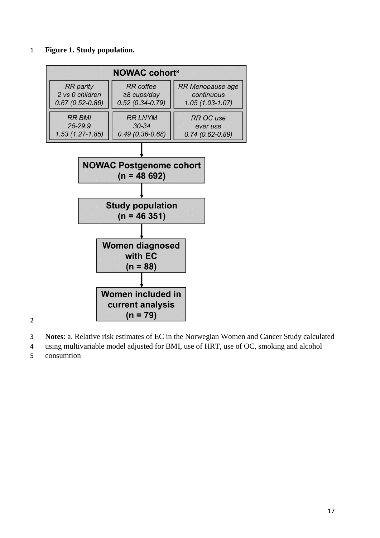#### **Figure 1. Study population.**



- **Notes**: a. Relative risk estimates of EC in the Norwegian Women and Cancer Study calculated
- using multivariable model adjusted for BMI, use of HRT, use of OC, smoking and alcohol
- consumtion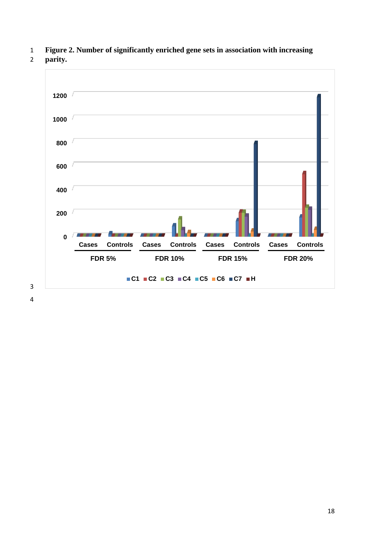**Figure 2. Number of significantly enriched gene sets in association with increasing** 

**parity.**

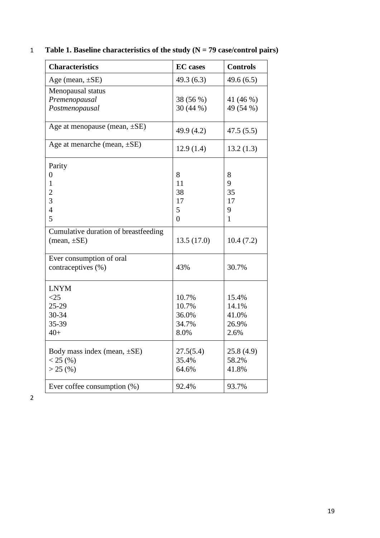|  |  |  |  |  |  |  |  | Table 1. Baseline characteristics of the study $(N = 79$ case/control pairs) |  |
|--|--|--|--|--|--|--|--|------------------------------------------------------------------------------|--|
|--|--|--|--|--|--|--|--|------------------------------------------------------------------------------|--|

| <b>Characteristics</b>               | <b>EC</b> cases | <b>Controls</b> |
|--------------------------------------|-----------------|-----------------|
| Age (mean, $\pm$ SE)                 | 49.3(6.3)       | 49.6(6.5)       |
| Menopausal status                    |                 |                 |
| Premenopausal                        | 38 (56 %)       | 41 (46 %)       |
| Postmenopausal                       | 30 (44 %)       | 49 (54 %)       |
| Age at menopause (mean, $\pm$ SE)    | 49.9 (4.2)      | 47.5(5.5)       |
| Age at menarche (mean, $\pm$ SE)     | 12.9(1.4)       | 13.2(1.3)       |
| Parity                               |                 |                 |
| $\overline{0}$                       | 8               | 8               |
| $\mathbf{1}$                         | 11              | 9               |
| $\overline{c}$                       | 38              | 35              |
| $\overline{3}$                       | 17              | 17              |
| $\overline{4}$                       | 5               | 9               |
| 5                                    | $\overline{0}$  | $\mathbf{1}$    |
| Cumulative duration of breastfeeding |                 |                 |
| $(\text{mean}, \pm SE)$              | 13.5(17.0)      | 10.4(7.2)       |
| Ever consumption of oral             |                 |                 |
| contraceptives (%)                   | 43%             | 30.7%           |
| <b>LNYM</b>                          |                 |                 |
| $<$ 25                               | 10.7%           | 15.4%           |
| $25-29$                              | 10.7%           | 14.1%           |
| 30-34                                | 36.0%           | 41.0%           |
| 35-39                                | 34.7%           | 26.9%           |
| $40+$                                | 8.0%            | 2.6%            |
| Body mass index (mean, $\pm$ SE)     | 27.5(5.4)       | 25.8(4.9)       |
| < 25(%)                              | 35.4%           | 58.2%           |
| $> 25$ (%)                           | 64.6%           | 41.8%           |
| Ever coffee consumption $(\%)$       | 92.4%           | 93.7%           |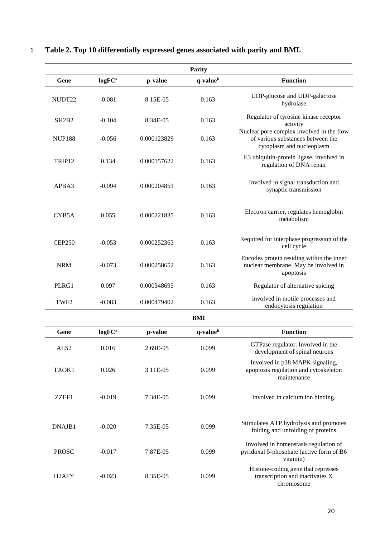| Parity                         |                    |             |                      |                                                                                                             |  |  |
|--------------------------------|--------------------|-------------|----------------------|-------------------------------------------------------------------------------------------------------------|--|--|
| Gene                           | logFC <sup>a</sup> | p-value     | q-value <sup>b</sup> | <b>Function</b>                                                                                             |  |  |
| NUDT22                         | $-0.081$           | 8.15E-05    | 0.163                | UDP-glucose and UDP-galactose<br>hydrolase                                                                  |  |  |
| SH <sub>2</sub> B <sub>2</sub> | $-0.104$           | 8.34E-05    | 0.163                | Regulator of tyrosine kinase receptor<br>activity                                                           |  |  |
| <b>NUP188</b>                  | $-0.056$           | 0.000123829 | 0.163                | Nuclear pore complex involved in the flow<br>of various substances between the<br>cytoplasm and nucleoplasm |  |  |
| TRIP <sub>12</sub>             | 0.134              | 0.000157622 | 0.163                | E3 ubiquitin-protein ligase, involved in<br>regulation of DNA repair                                        |  |  |
| APBA3                          | $-0.094$           | 0.000204851 | 0.163                | Involved in signal transduction and<br>synaptic transmission                                                |  |  |
| CYB5A                          | 0.055              | 0.000221835 | 0.163                | Electron carrier, regulates hemoglobin<br>metabolism                                                        |  |  |
| <b>CEP250</b>                  | $-0.053$           | 0.000252363 | 0.163                | Required for interphase progression of the<br>cell cycle                                                    |  |  |
| <b>NRM</b>                     | $-0.073$           | 0.000258652 | 0.163                | Encodes protein residing within the inner<br>nuclear membrane. May be involved in<br>apoptosis              |  |  |
| PLRG1                          | 0.097              | 0.000348695 | 0.163                | Regulator of alternative spicing                                                                            |  |  |
| TWF <sub>2</sub>               | $-0.083$           | 0.000479402 | 0.163                | involved in motile processes and<br>endocytosis regulation                                                  |  |  |
|                                |                    |             |                      |                                                                                                             |  |  |
| Gene                           | logFC <sup>a</sup> | p-value     | q-value <sup>b</sup> | <b>Function</b>                                                                                             |  |  |
| ALS <sub>2</sub>               | 0.016              | 2.69E-05    | 0.099                | GTPase regulator. Involved in the<br>development of spinal neurons                                          |  |  |
| TAOK1                          | 0.026              | 3.11E-05    | 0.099                | Involved in p38 MAPK signaling,<br>apoptosis regulation and cytoskeleton<br>maintenance                     |  |  |
| ZZEF1                          | $-0.019$           | 7.34E-05    | 0.099                | Involved in calcium ion binding.                                                                            |  |  |
| DNAJB1                         | $-0.020$           | 7.35E-05    | 0.099                | Stimulates ATP hydrolysis and promotes<br>folding and unfolding of proteins                                 |  |  |
| <b>PROSC</b>                   | $-0.017$           | 7.87E-05    | 0.099                | Involved in homeostasis regulation of<br>pyridoxal 5-phosphate (active form of B6<br>vitamin)               |  |  |
| H <sub>2</sub> AFY             | $-0.023$           | 8.35E-05    | 0.099                | Histone-coding gene that represses<br>transcription and inactivates X<br>chromosome                         |  |  |

# 1 **Table 2. Top 10 differentially expressed genes associated with parity and BMI.**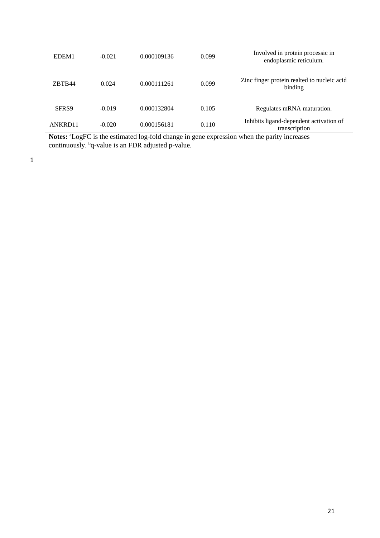| Involved in protein processic in<br>endoplasmic reticulum. | 0.099 | 0.000109136 | $-0.021$ | EDEM <sub>1</sub> |
|------------------------------------------------------------|-------|-------------|----------|-------------------|
| Zinc finger protein realted to nucleic acid<br>binding     | 0.099 | 0.000111261 | 0.024    | ZBTB44            |
| Regulates mRNA maturation.                                 | 0.105 | 0.000132804 | $-0.019$ | SFR <sub>S9</sub> |
| Inhibits ligand-dependent activation of<br>transcription   | 0.110 | 0.000156181 | $-0.020$ | ANKRD11           |

Notes: <sup>a</sup>LogFC is the estimated log-fold change in gene expression when the parity increases continuously. <sup>b</sup>q-value is an FDR adjusted p-value.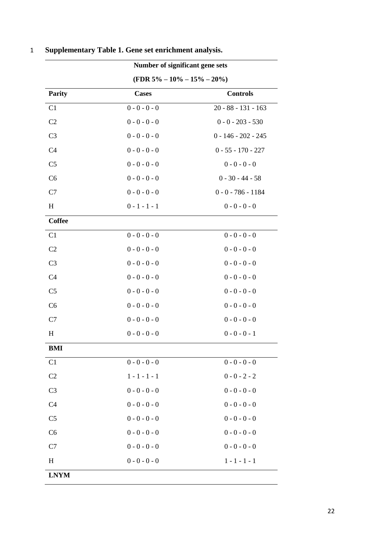| Number of significant gene sets   |                 |                       |  |
|-----------------------------------|-----------------|-----------------------|--|
| (FDR $5\% - 10\% - 15\% - 20\%$ ) |                 |                       |  |
| <b>Parity</b>                     | <b>Cases</b>    | <b>Controls</b>       |  |
| C <sub>1</sub>                    | $0 - 0 - 0 - 0$ | $20 - 88 - 131 - 163$ |  |
| C <sub>2</sub>                    | $0 - 0 - 0 - 0$ | $0 - 0 - 203 - 530$   |  |
| C <sub>3</sub>                    | $0 - 0 - 0 - 0$ | $0 - 146 - 202 - 245$ |  |
| C <sub>4</sub>                    | $0 - 0 - 0 - 0$ | $0 - 55 - 170 - 227$  |  |
| C <sub>5</sub>                    | $0 - 0 - 0 - 0$ | $0 - 0 - 0 - 0$       |  |
| C6                                | $0 - 0 - 0 - 0$ | $0 - 30 - 44 - 58$    |  |
| C7                                | $0 - 0 - 0 - 0$ | $0 - 0 - 786 - 1184$  |  |
| H                                 | $0 - 1 - 1 - 1$ | $0 - 0 - 0 - 0$       |  |
| <b>Coffee</b>                     |                 |                       |  |
| C1                                | $0 - 0 - 0 - 0$ | $0 - 0 - 0 - 0$       |  |
| C <sub>2</sub>                    | $0 - 0 - 0 - 0$ | $0 - 0 - 0 - 0$       |  |
| C <sub>3</sub>                    | $0 - 0 - 0 - 0$ | $0 - 0 - 0 - 0$       |  |
| C <sub>4</sub>                    | $0 - 0 - 0 - 0$ | $0 - 0 - 0 - 0$       |  |
| C <sub>5</sub>                    | $0 - 0 - 0 - 0$ | $0 - 0 - 0 - 0$       |  |
| C <sub>6</sub>                    | $0 - 0 - 0 - 0$ | $0 - 0 - 0 - 0$       |  |
| C7                                | $0 - 0 - 0 - 0$ | $0 - 0 - 0 - 0$       |  |
| H                                 | $0 - 0 - 0 - 0$ | $0 - 0 - 0 - 1$       |  |
| BMI                               |                 |                       |  |
| C1                                | $0 - 0 - 0 - 0$ | $0 - 0 - 0 - 0$       |  |
| C <sub>2</sub>                    | $1 - 1 - 1 - 1$ | $0 - 0 - 2 - 2$       |  |
| C <sub>3</sub>                    | $0 - 0 - 0 - 0$ | $0 - 0 - 0 - 0$       |  |
| C <sub>4</sub>                    | $0 - 0 - 0 - 0$ | $0 - 0 - 0 - 0$       |  |
| C <sub>5</sub>                    | $0 - 0 - 0 - 0$ | $0 - 0 - 0 - 0$       |  |
| C6                                | $0 - 0 - 0 - 0$ | $0 - 0 - 0 - 0$       |  |
| C7                                | $0 - 0 - 0 - 0$ | $0 - 0 - 0 - 0$       |  |
| $H_{\rm}$                         | $0 - 0 - 0 - 0$ | $1 - 1 - 1 - 1$       |  |

# 1 **Supplementary Table 1. Gene set enrichment analysis.**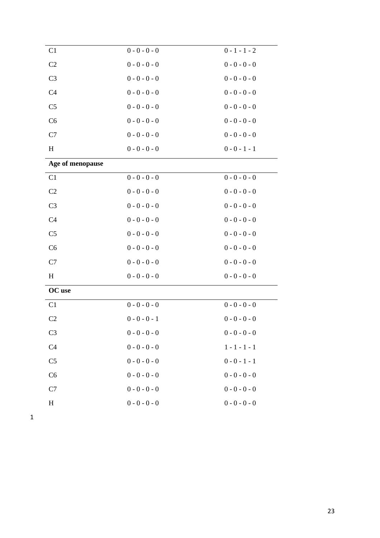| C <sub>1</sub>   | $0 - 0 - 0 - 0$ | $0 - 1 - 1 - 2$ |
|------------------|-----------------|-----------------|
| C <sub>2</sub>   | $0 - 0 - 0 - 0$ | $0 - 0 - 0 - 0$ |
| C <sub>3</sub>   | $0 - 0 - 0 - 0$ | $0 - 0 - 0 - 0$ |
| C <sub>4</sub>   | $0 - 0 - 0 - 0$ | $0 - 0 - 0 - 0$ |
| C <sub>5</sub>   | $0 - 0 - 0 - 0$ | $0 - 0 - 0 - 0$ |
| C6               | $0 - 0 - 0 - 0$ | $0 - 0 - 0 - 0$ |
| C7               | $0 - 0 - 0 - 0$ | $0 - 0 - 0 - 0$ |
| $H_{\rm}$        | $0 - 0 - 0 - 0$ | $0 - 0 - 1 - 1$ |
| Age of menopause |                 |                 |
| C1               | $0 - 0 - 0 - 0$ | $0 - 0 - 0 - 0$ |
| C <sub>2</sub>   | $0 - 0 - 0 - 0$ | $0 - 0 - 0 - 0$ |
| C <sub>3</sub>   | $0 - 0 - 0 - 0$ | $0 - 0 - 0 - 0$ |
| C <sub>4</sub>   | $0 - 0 - 0 - 0$ | $0 - 0 - 0 - 0$ |
| C <sub>5</sub>   | $0 - 0 - 0 - 0$ | $0 - 0 - 0 - 0$ |
| C6               | $0 - 0 - 0 - 0$ | $0 - 0 - 0 - 0$ |
| C7               | $0 - 0 - 0 - 0$ | $0 - 0 - 0 - 0$ |
| $H_{\rm}$        | $0 - 0 - 0 - 0$ | $0 - 0 - 0 - 0$ |
| OC use           |                 |                 |
| C <sub>1</sub>   | $0 - 0 - 0 - 0$ | $0 - 0 - 0 - 0$ |
| C <sub>2</sub>   | $0 - 0 - 0 - 1$ | $0 - 0 - 0 - 0$ |
| C <sub>3</sub>   | $0 - 0 - 0 - 0$ | $0 - 0 - 0 - 0$ |
| C <sub>4</sub>   | $0 - 0 - 0 - 0$ | $1 - 1 - 1 - 1$ |
| C <sub>5</sub>   | $0 - 0 - 0 - 0$ | $0 - 0 - 1 - 1$ |
| C6               | $0 - 0 - 0 - 0$ | $0 - 0 - 0 - 0$ |
| C7               | $0 - 0 - 0 - 0$ | $0 - 0 - 0 - 0$ |
| H                | $0 - 0 - 0 - 0$ | $0 - 0 - 0 - 0$ |